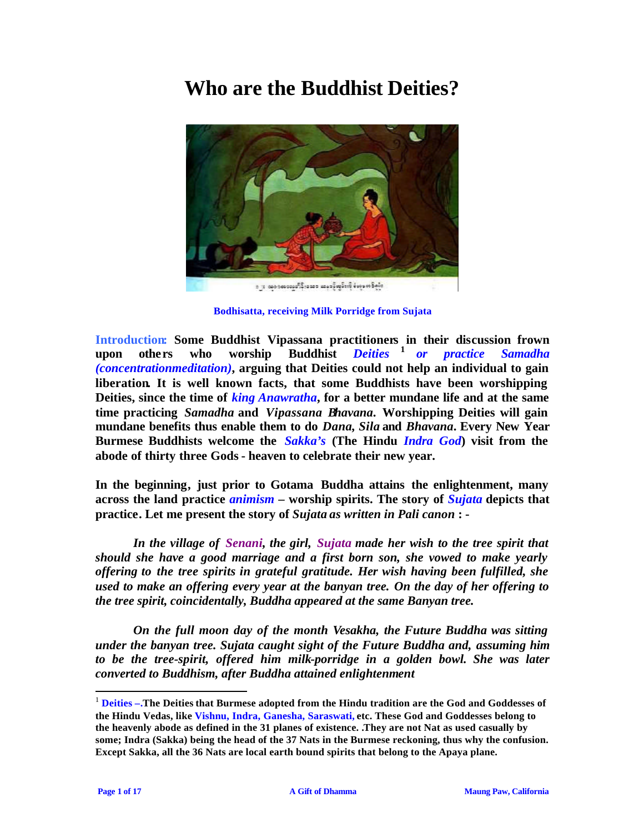# **Who are the Buddhist Deities?**



**Bodhisatta, receiving Milk Porridge from Sujata** 

**Introduction: Some Buddhist Vipassana practitioners in their discussion frown upon others who worship Buddhist** *Deities* **<sup>1</sup>** *or practice Samadha (concentrationmeditation)***, arguing that Deities could not help an individual to gain liberation. It is well known facts, that some Buddhists have been worshipping Deities, since the time of** *king Anawratha***, for a better mundane life and at the same time practicing** *Samadha* **and** *Vipassana Bhavana***. Worshipping Deities will gain mundane benefits thus enable them to do** *Dana, Sila* **and** *Bhavana***. Every New Year Burmese Buddhists welcome the** *Sakka's* **(The Hindu** *Indra God***) visit from the abode of thirty three Gods - heaven to celebrate their new year.** 

**In the beginning, just prior to Gotama Buddha attains the enlightenment, many across the land practice** *animism* **– worship spirits. The story of** *Sujata* **depicts that practice. Let me present the story of** *Sujata as written in Pali canon* **: -**

*In the village of Senani, the girl, Sujata made her wish to the tree spirit that should she have a good marriage and a first born son, she vowed to make yearly offering to the tree spirits in grateful gratitude. Her wish having been fulfilled, she used to make an offering every year at the banyan tree. On the day of her offering to the tree spirit, coincidentally, Buddha appeared at the same Banyan tree.* 

*On the full moon day of the month Vesakha, the Future Buddha was sitting under the banyan tree. Sujata caught sight of the Future Buddha and, assuming him to be the tree-spirit, offered him milk-porridge in a golden bowl. She was later converted to Buddhism, after Buddha attained enlightenment* 

 $\overline{a}$ 

<sup>1</sup> **Deities –.The Deities that Burmese adopted from the Hindu tradition are the God and Goddesses of the Hindu Vedas, like Vishnu, Indra, Ganesha, Saraswati, etc. These God and Goddesses belong to the heavenly abode as defined in the 31 planes of existence. .They are not Nat as used casually by some; Indra (Sakka) being the head of the 37 Nats in the Burmese reckoning, thus why the confusion. Except Sakka, all the 36 Nats are local earth bound spirits that belong to the Apaya plane.**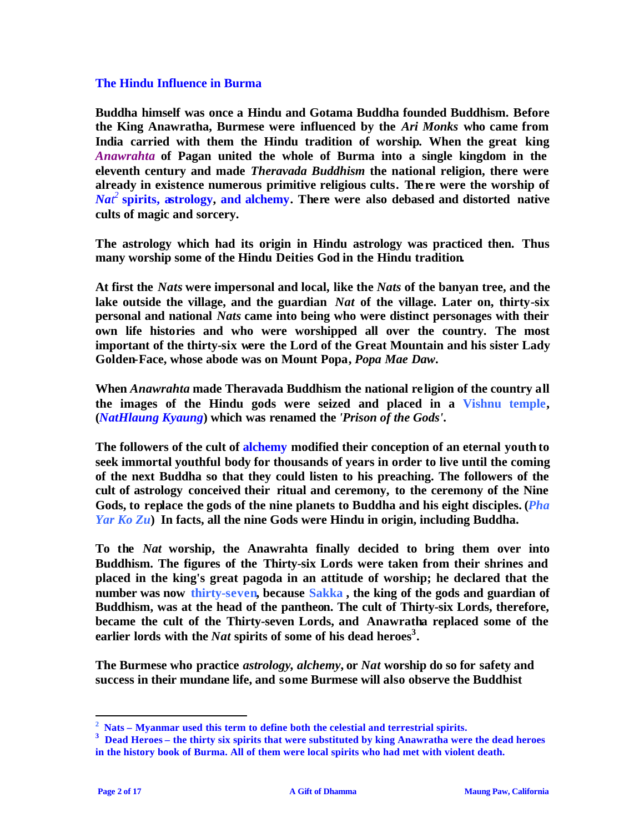#### **The Hindu Influence in Burma**

**Buddha himself was once a Hindu and Gotama Buddha founded Buddhism. Before the King Anawratha, Burmese were influenced by the** *Ari Monks* **who came from India carried with them the Hindu tradition of worship. When the great king**  *Anawrahta* **of Pagan united the whole of Burma into a single kingdom in the eleventh century and made** *Theravada Buddhism* **the national religion, there were already in existence numerous primitive religious cults. The re were the worship of**  *Nat 2* **spirits, astrology, and alchemy. There were also debased and distorted native cults of magic and sorcery.**

**The astrology which had its origin in Hindu astrology was practiced then. Thus many worship some of the Hindu Deities God in the Hindu tradition.** 

**At first the** *Nats* **were impersonal and local, like the** *Nats* **of the banyan tree, and the lake outside the village, and the guardian** *Nat* **of the village. Later on, thirty-six personal and national** *Nats* **came into being who were distinct personages with their own life histories and who were worshipped all over the country. The most important of the thirty-six were the Lord of the Great Mountain and his sister Lady Golden-Face, whose abode was on Mount Popa,** *Popa Mae Daw***.**

**When** *Anawrahta* **made Theravada Buddhism the national re ligion of the country all the images of the Hindu gods were seized and placed in a Vishnu temple, (***NatHlaung Kyaung***) which was renamed the** *'Prison of the Gods'***.** 

**The followers of the cult of alchemy modified their conception of an eternal youth to seek immortal youthful body for thousands of years in order to live until the coming of the next Buddha so that they could listen to his preaching. The followers of the cult of astrology conceived their ritual and ceremony, to the ceremony of the Nine Gods, to replace the gods of the nine planets to Buddha and his eight disciples. (***Pha Yar Ko Zu***) In facts, all the nine Gods were Hindu in origin, including Buddha.**

**To the** *Nat* **worship, the Anawrahta finally decided to bring them over into Buddhism. The figures of the Thirty-six Lords were taken from their shrines and placed in the king's great pagoda in an attitude of worship; he declared that the number was now thirty-seven, because Sakka , the king of the gods and guardian of Buddhism, was at the head of the pantheon. The cult of Thirty-six Lords, therefore, became the cult of the Thirty-seven Lords, and Anawratha replaced some of the earlier lords with the** *Nat* **spirits of some of his dead heroes<sup>3</sup> .**

**The Burmese who practice** *astrology, alchemy***, or** *Nat* **worship do so for safety and success in their mundane life, and some Burmese will also observe the Buddhist** 

 $\overline{a}$ 

**<sup>2</sup> Nats – Myanmar used this term to define both the celestial and terrestrial spirits.** 

<sup>&</sup>lt;sup>3</sup> Dead Heroes – the thirty six spirits that were substituted by king Anawratha were the dead heroes **in the history book of Burma. All of them were local spirits who had met with violent death.**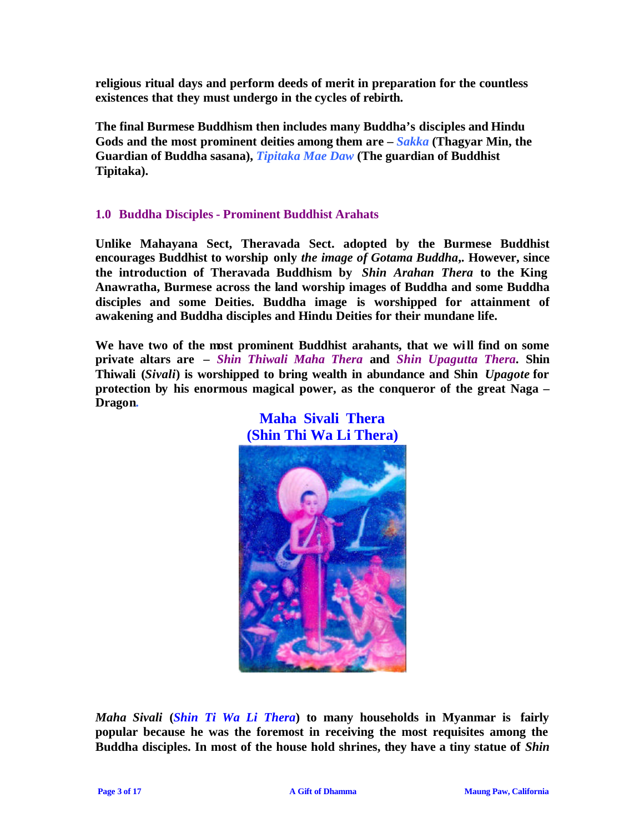**religious ritual days and perform deeds of merit in preparation for the countless existences that they must undergo in the cycles of rebirth.**

**The final Burmese Buddhism then includes many Buddha's disciples and Hindu Gods and the most prominent deities among them are –** *Sakka* **(Thagyar Min, the Guardian of Buddha sasana),** *Tipitaka Mae Daw* **(The guardian of Buddhist Tipitaka).** 

#### **1.0 Buddha Disciples - Prominent Buddhist Arahats**

**Unlike Mahayana Sect, Theravada Sect. adopted by the Burmese Buddhist encourages Buddhist to worship only** *the image of Gotama Buddha***,. However, since the introduction of Theravada Buddhism by** *Shin Arahan Thera* **to the King Anawratha, Burmese across the land worship images of Buddha and some Buddha disciples and some Deities. Buddha image is worshipped for attainment of awakening and Buddha disciples and Hindu Deities for their mundane life.** 

**We have two of the most prominent Buddhist arahants, that we will find on some private altars are –** *Shin Thiwali Maha Thera* **and** *Shin Upagutta Thera***. Shin Thiwali (***Sivali***) is worshipped to bring wealth in abundance and Shin** *Upagote* **for protection by his enormous magical power, as the conqueror of the great Naga – Dragon.**



# **Maha Sivali Thera (Shin Thi Wa Li Thera)**

*Maha Sivali* **(***Shin Ti Wa Li Thera***) to many households in Myanmar is fairly popular because he was the foremost in receiving the most requisites among the Buddha disciples. In most of the house hold shrines, they have a tiny statue of** *Shin*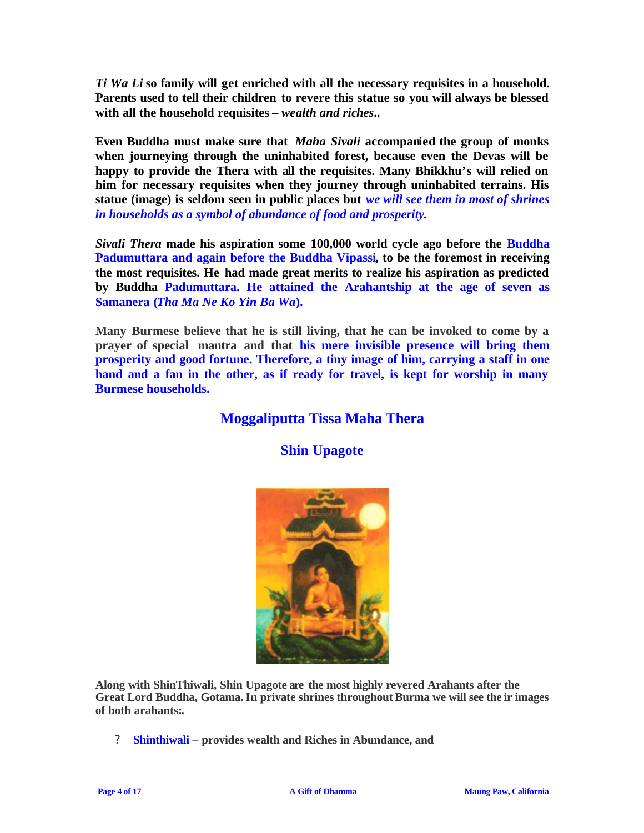*Ti Wa Li* **so family will get enriched with all the necessary requisites in a household. Parents used to tell their children to revere this statue so you will always be blessed with all the household requisites –** *wealth and riches***..**

**Even Buddha must make sure that** *Maha Sivali* **accompanied the group of monks when journeying through the uninhabited forest, because even the Devas will be happy to provide the Thera with all the requisites. Many Bhikkhu's will relied on him for necessary requisites when they journey through uninhabited terrains. His statue (image) is seldom seen in public places but** *we will see them in most of shrines in households as a symbol of abundance of food and prosperity***.** 

*Sivali Thera* **made his aspiration some 100,000 world cycle ago before the Buddha Padumuttara and again before the Buddha Vipassi, to be the foremost in receiving the most requisites. He had made great merits to realize his aspiration as predicted by Buddha Padumuttara. He attained the Arahantship at the age of seven as Samanera (***Tha Ma Ne Ko Yin Ba Wa***).**

**Many Burmese believe that he is still living, that he can be invoked to come by a prayer of special mantra and that his mere invisible presence will bring them prosperity and good fortune. Therefore, a tiny image of him, carrying a staff in one hand and a fan in the other, as if ready for travel, is kept for worship in many Burmese households.**

# **Moggaliputta Tissa Maha Thera**

**Shin Upagote**



**Along with ShinThiwali, Shin Upagote are the most highly revered Arahants after the Great Lord Buddha, Gotama. In private shrines throughout Burma we will see the ir images of both arahants:.**

? **Shinthiwali – provides wealth and Riches in Abundance, and**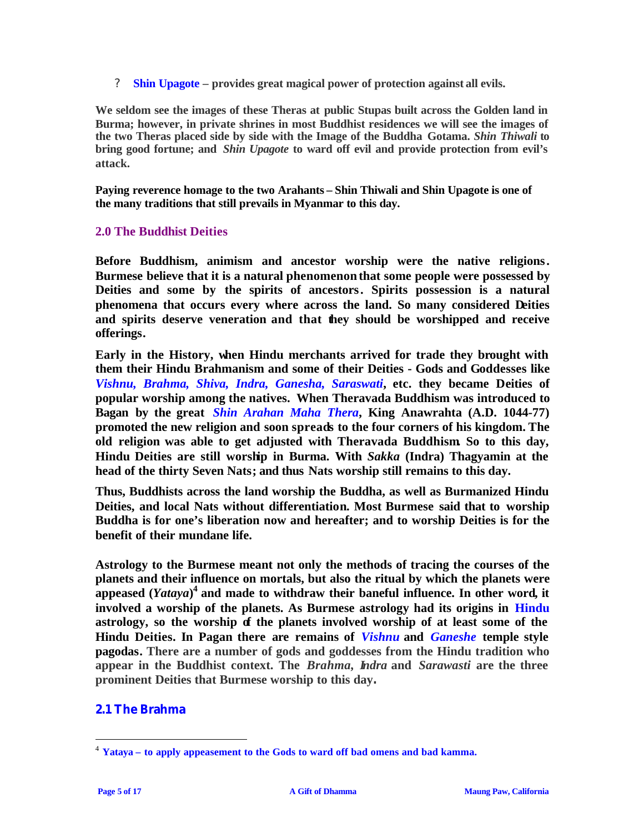? **Shin Upagote – provides great magical power of protection against all evils.**

**We seldom see the images of these Theras at public Stupas built across the Golden land in Burma; however, in private shrines in most Buddhist residences we will see the images of the two Theras placed side by side with the Image of the Buddha Gotama.** *Shin Thiwali* **to bring good fortune; and** *Shin Upagote* **to ward off evil and provide protection from evil's attack.**

**Paying reverence homage to the two Arahants – Shin Thiwali and Shin Upagote is one of the many traditions that still prevails in Myanmar to this day.**

#### **2.0 The Buddhist Deities**

**Before Buddhism, animism and ancestor worship were the native religions. Burmese believe that it is a natural phenomenonthat some people were possessed by Deities and some by the spirits of ancestors. Spirits possession is a natural phenomena that occurs every where across the land. So many considered Deities and spirits deserve veneration and that they should be worshipped and receive offerings.** 

**Early in the History, when Hindu merchants arrived for trade they brought with them their Hindu Brahmanism and some of their Deities - Gods and Goddesses like**  *Vishnu, Brahma, Shiva, Indra, Ganesha, Saraswati***, etc. they became Deities of popular worship among the natives. When Theravada Buddhism was introduced to Bagan by the great** *Shin Arahan Maha Thera***, King Anawrahta (A.D. 1044-77) promoted the new religion and soon spreads to the four corners of his kingdom. The old religion was able to get adjusted with Theravada Buddhism. So to this day, Hindu Deities are still worship in Burma. With** *Sakka* **(Indra) Thagyamin at the head of the thirty Seven Nats; and thus Nats worship still remains to this day.** 

**Thus, Buddhists across the land worship the Buddha, as well as Burmanized Hindu Deities, and local Nats without differentiation. Most Burmese said that to worship Buddha is for one's liberation now and hereafter; and to worship Deities is for the benefit of their mundane life.** 

**Astrology to the Burmese meant not only the methods of tracing the courses of the planets and their influence on mortals, but also the ritual by which the planets were**  appeased  $(Yataya)^4$  and made to withdraw their baneful influence. In other word, it **involved a worship of the planets. As Burmese astrology had its origins in Hindu astrology, so the worship of the planets involved worship of at least some of the Hindu Deities. In Pagan there are remains of** *Vishnu* **and** *Ganeshe* **temple style pagodas. There are a number of gods and goddesses from the Hindu tradition who appear in the Buddhist context. The** *Brahma, Indra* **and** *Sarawasti* **are the three prominent Deities that Burmese worship to this day.** 

# **2.1 The Brahma**

 $\overline{a}$ 

<sup>4</sup> **Yataya – to apply appeasement to the Gods to ward off bad omens and bad kamma.**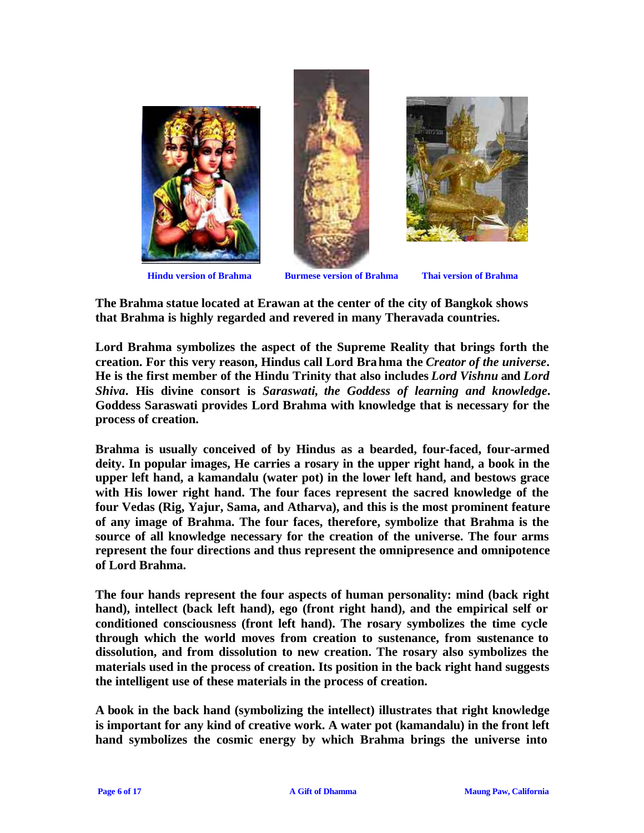

**The Brahma statue located at Erawan at the center of the city of Bangkok shows that Brahma is highly regarded and revered in many Theravada countries.**

**Lord Brahma symbolizes the aspect of the Supreme Reality that brings forth the creation. For this very reason, Hindus call Lord Brahma the** *Creator of the universe***. He is the first member of the Hindu Trinity that also includes** *Lord Vishnu* **and** *Lord Shiva***. His divine consort is** *Saraswati, the Goddess of learning and knowledge***. Goddess Saraswati provides Lord Brahma with knowledge that is necessary for the process of creation.** 

**Brahma is usually conceived of by Hindus as a bearded, four-faced, four-armed deity. In popular images, He carries a rosary in the upper right hand, a book in the upper left hand, a kamandalu (water pot) in the lower left hand, and bestows grace with His lower right hand. The four faces represent the sacred knowledge of the four Vedas (Rig, Yajur, Sama, and Atharva), and this is the most prominent feature of any image of Brahma. The four faces, therefore, symbolize that Brahma is the source of all knowledge necessary for the creation of the universe. The four arms represent the four directions and thus represent the omnipresence and omnipotence of Lord Brahma.**

**The four hands represent the four aspects of human personality: mind (back right hand), intellect (back left hand), ego (front right hand), and the empirical self or conditioned consciousness (front left hand). The rosary symbolizes the time cycle through which the world moves from creation to sustenance, from sustenance to dissolution, and from dissolution to new creation. The rosary also symbolizes the materials used in the process of creation. Its position in the back right hand suggests the intelligent use of these materials in the process of creation.**

**A book in the back hand (symbolizing the intellect) illustrates that right knowledge is important for any kind of creative work. A water pot (kamandalu) in the front left hand symbolizes the cosmic energy by which Brahma brings the universe into**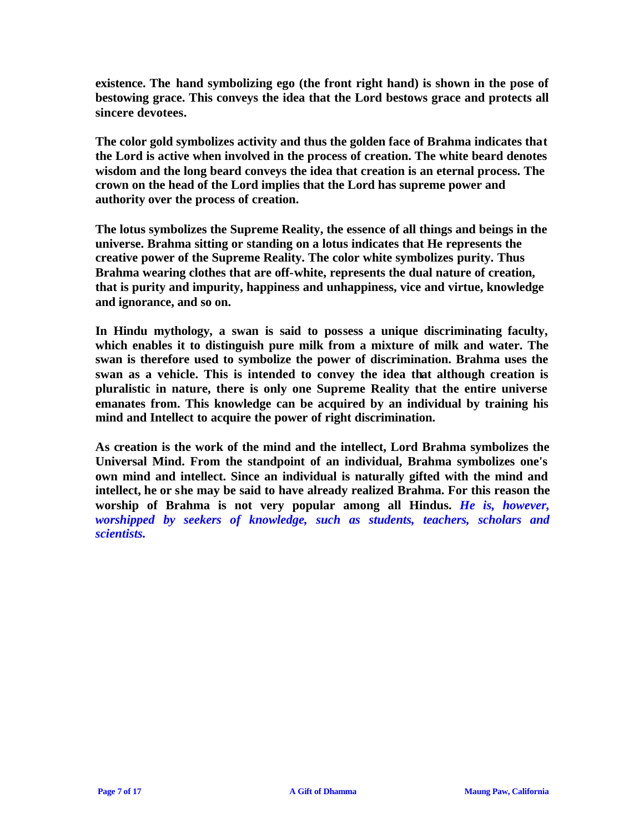**existence. The hand symbolizing ego (the front right hand) is shown in the pose of bestowing grace. This conveys the idea that the Lord bestows grace and protects all sincere devotees.**

**The color gold symbolizes activity and thus the golden face of Brahma indicates that the Lord is active when involved in the process of creation. The white beard denotes wisdom and the long beard conveys the idea that creation is an eternal process. The crown on the head of the Lord implies that the Lord has supreme power and authority over the process of creation.**

**The lotus symbolizes the Supreme Reality, the essence of all things and beings in the universe. Brahma sitting or standing on a lotus indicates that He represents the creative power of the Supreme Reality. The color white symbolizes purity. Thus Brahma wearing clothes that are off-white, represents the dual nature of creation, that is purity and impurity, happiness and unhappiness, vice and virtue, knowledge and ignorance, and so on.**

**In Hindu mythology, a swan is said to possess a unique discriminating faculty, which enables it to distinguish pure milk from a mixture of milk and water. The swan is therefore used to symbolize the power of discrimination. Brahma uses the swan as a vehicle. This is intended to convey the idea that although creation is pluralistic in nature, there is only one Supreme Reality that the entire universe emanates from. This knowledge can be acquired by an individual by training his mind and Intellect to acquire the power of right discrimination.**

**As creation is the work of the mind and the intellect, Lord Brahma symbolizes the Universal Mind. From the standpoint of an individual, Brahma symbolizes one's own mind and intellect. Since an individual is naturally gifted with the mind and intellect, he or she may be said to have already realized Brahma. For this reason the worship of Brahma is not very popular among all Hindus.** *He is, however, worshipped by seekers of knowledge, such as students, teachers, scholars and scientists.*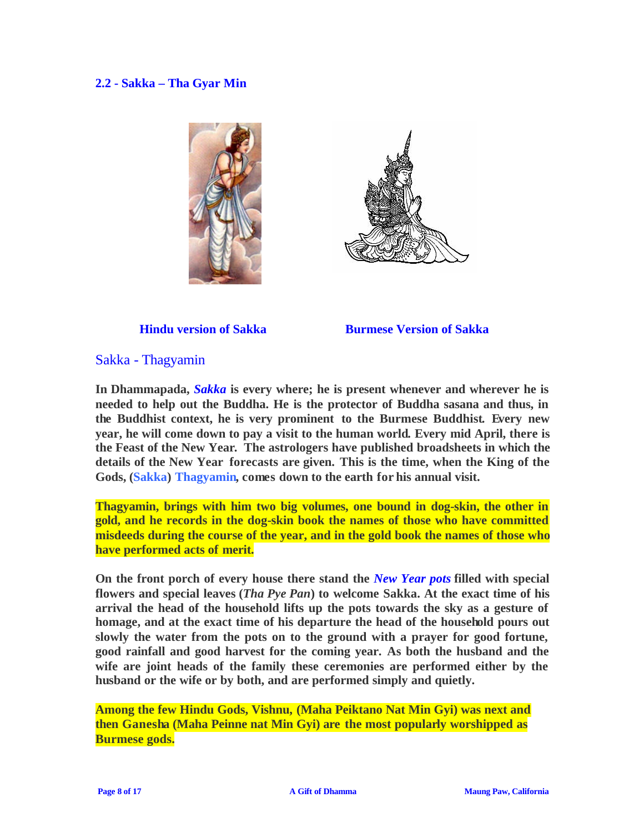#### **2.2 - Sakka – Tha Gyar Min**





**Hindu version of Sakka Burmese Version of Sakka** 

# Sakka - Thagyamin

**In Dhammapada,** *Sakka* **is every where; he is present whenever and wherever he is needed to help out the Buddha. He is the protector of Buddha sasana and thus, in the Buddhist context, he is very prominent to the Burmese Buddhist. Every new year, he will come down to pay a visit to the human world. Every mid April, there is the Feast of the New Year. The astrologers have published broadsheets in which the details of the New Year forecasts are given. This is the time, when the King of the Gods, (Sakka) Thagyamin, comes down to the earth for his annual visit.** 

**Thagyamin, brings with him two big volumes, one bound in dog-skin, the other in gold, and he records in the dog-skin book the names of those who have committed misdeeds during the course of the year, and in the gold book the names of those who have performed acts of merit.** 

**On the front porch of every house there stand the** *New Year pots* **filled with special flowers and special leaves (***Tha Pye Pan***) to welcome Sakka. At the exact time of his arrival the head of the household lifts up the pots towards the sky as a gesture of homage, and at the exact time of his departure the head of the household pours out slowly the water from the pots on to the ground with a prayer for good fortune, good rainfall and good harvest for the coming year. As both the husband and the wife are joint heads of the family these ceremonies are performed either by the husband or the wife or by both, and are performed simply and quietly.**

**Among the few Hindu Gods, Vishnu, (Maha Peiktano Nat Min Gyi) was next and then Ganesha (Maha Peinne nat Min Gyi) are the most popularly worshipped as Burmese gods.**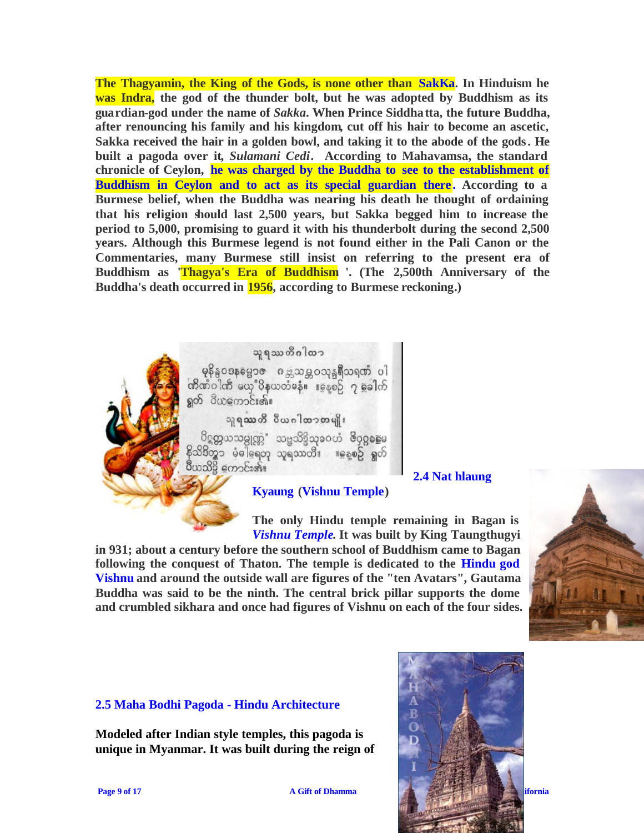**The Thagyamin, the King of the Gods, is none other than SakKa. In Hinduism he was Indra, the god of the thunder bolt, but he was adopted by Buddhism as its guardian-god under the name of** *Sakka***. When Prince Siddhatta, the future Buddha, after renouncing his family and his kingdom, cut off his hair to become an ascetic, Sakka received the hair in a golden bowl, and taking it to the abode of the gods. He built a pagoda over it,** *Sulamani Cedi***. According to Mahavamsa, the standard chronicle of Ceylon, he was charged by the Buddha to see to the establishment of Buddhism in Ceylon and to act as its special guardian there.** According to a **Burmese belief, when the Buddha was nearing his death he thought of ordaining that his religion should last 2,500 years, but Sakka begged him to increase the period to 5,000, promising to guard it with his thunderbolt during the second 2,500 years. Although this Burmese legend is not found either in the Pali Canon or the Commentaries, many Burmese still insist on referring to the present era of Buddhism as 'Thagya's Era of Buddhism '. (The 2,500th Anniversary of the Buddha's death occurred in 1956, according to Burmese reckoning.)**

သူရဿတိဂါထာ

မုနိန္မဝဒနမ္မေ၁ဇ ၈.၅သမ္ဘဝသုန္မရှိသရဏႆ ၀ါ .<br>ထိုထံဝါဏီ မယ့<sup>8</sup>8နယတံမနံ။ ။နေ့စဉ် ၇ ခေါက် ရုတ် ပီယုကောင်း၏။

သူရဿတီ ပီယဂါထာတမျိုး

ပိတ္ဆယသမ္တုဏ္က သမ္မသိဒ္ဓိသုခဝဟံ **ဇိ**ဝ္ဝွစ္ေမ န်သိမိတ္မွာ မံခါရေတ သူရသာတိ။ ။နေစဉ် ရွက် ပီယသိ၌ ကောင်း၏။

#### **2.4 Nat hlaung**

# **Kyaung (Vishnu Temple)**

**The only Hindu temple remaining in Bagan is**  *Vishnu Temple***. It was built by King Taungthugyi** 

**in 931; about a century before the southern school of Buddhism came to Bagan following the conquest of Thaton. The temple is dedicated to the Hindu god Vishnu and around the outside wall are figures of the "ten Avatars", Gautama Buddha was said to be the ninth. The central brick pillar supports the dome and crumbled sikhara and once had figures of Vishnu on each of the four sides.** 



# **2.5 Maha Bodhi Pagoda - Hindu Architecture**

**Modeled after Indian style temples, this pagoda is unique in Myanmar. It was built during the reign of** 

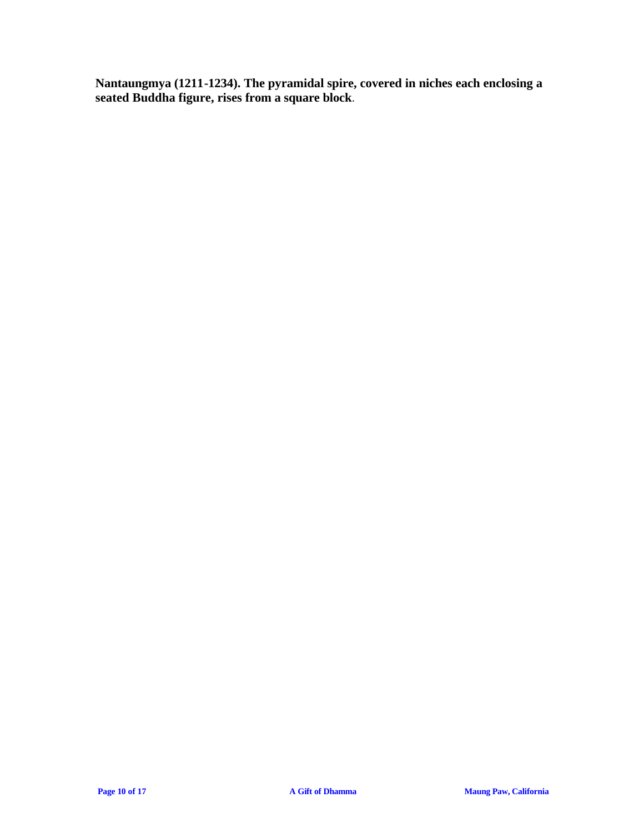**Nantaungmya (1211-1234). The pyramidal spire, covered in niches each enclosing a seated Buddha figure, rises from a square block**.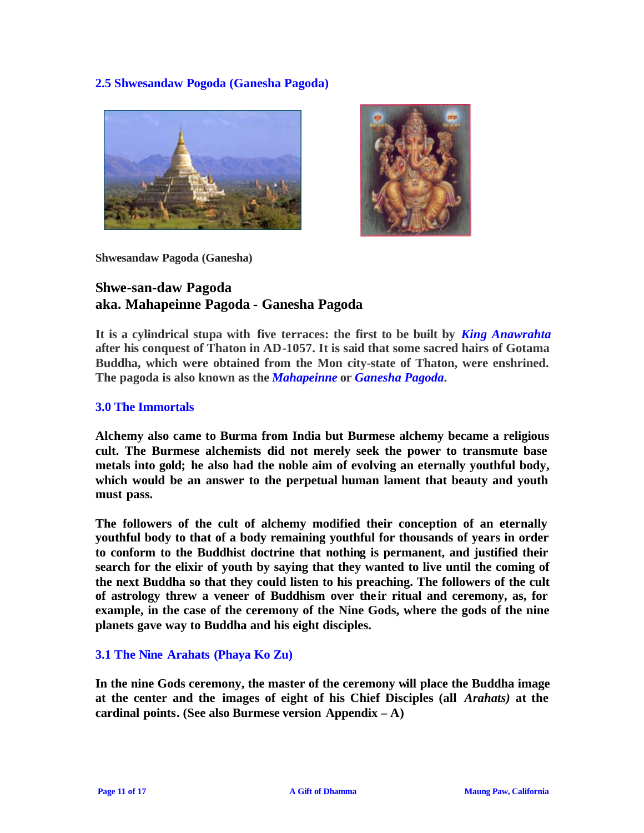#### **2.5 Shwesandaw Pogoda (Ganesha Pagoda)**





**Shwesandaw Pagoda (Ganesha)**

# **Shwe-san-daw Pagoda aka. Mahapeinne Pagoda - Ganesha Pagoda**

**It is a cylindrical stupa with five terraces: the first to be built by** *King Anawrahta* **after his conquest of Thaton in AD-1057. It is said that some sacred hairs of Gotama Buddha, which were obtained from the Mon city-state of Thaton, were enshrined. The pagoda is also known as the** *Mahapeinne* **or** *Ganesha Pagoda***.** 

#### **3.0 The Immortals**

**Alchemy also came to Burma from India but Burmese alchemy became a religious cult. The Burmese alchemists did not merely seek the power to transmute base metals into gold; he also had the noble aim of evolving an eternally youthful body, which would be an answer to the perpetual human lament that beauty and youth must pass.**

**The followers of the cult of alchemy modified their conception of an eternally youthful body to that of a body remaining youthful for thousands of years in order to conform to the Buddhist doctrine that nothing is permanent, and justified their search for the elixir of youth by saying that they wanted to live until the coming of the next Buddha so that they could listen to his preaching. The followers of the cult**  of astrology threw a veneer of Buddhism over their ritual and ceremony, as, for **example, in the case of the ceremony of the Nine Gods, where the gods of the nine planets gave way to Buddha and his eight disciples.**

## **3.1 The Nine Arahats (Phaya Ko Zu)**

**In the nine Gods ceremony, the master of the ceremony will place the Buddha image at the center and the images of eight of his Chief Disciples (all** *Arahats)* **at the cardinal points. (See also Burmese version Appendix – A)**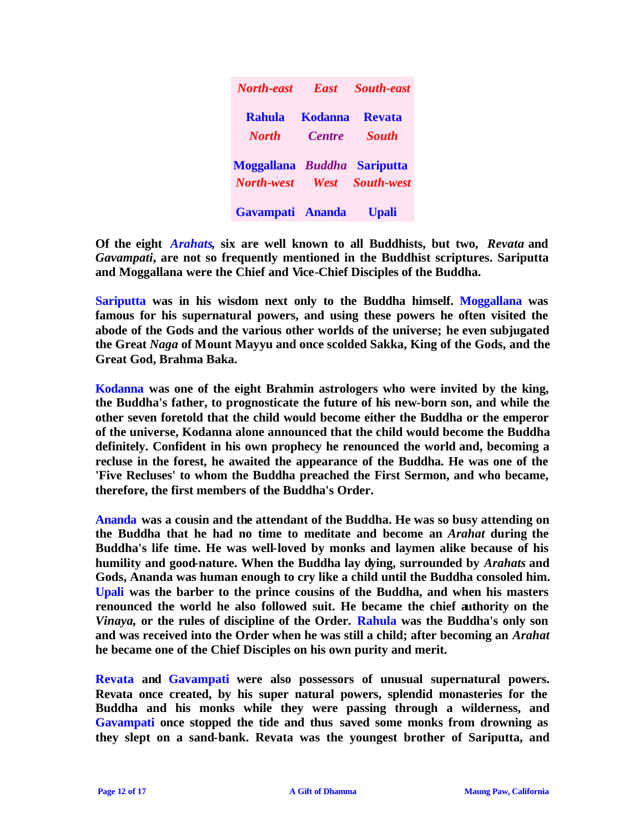| <b>North-east</b>           | <b>East</b>    | South-east             |
|-----------------------------|----------------|------------------------|
| <b>Rahula</b>               | <b>Kodanna</b> | <b>Revata</b>          |
| <b>North</b>                | <b>Centre</b>  | <b>South</b>           |
| Moggallana Buddha Sariputta |                |                        |
| North-west                  |                | <b>West</b> South-west |
| Gavampati Ananda            |                | <b>Upali</b>           |

**Of the eight** *Arahats,* **six are well known to all Buddhists, but two,** *Revata* **and**  *Gavampati***, are not so frequently mentioned in the Buddhist scriptures. Sariputta and Moggallana were the Chief and Vice-Chief Disciples of the Buddha.** 

**Sariputta was in his wisdom next only to the Buddha himself. Moggallana was famous for his supernatural powers, and using these powers he often visited the abode of the Gods and the various other worlds of the universe; he even subjugated the Great** *Naga* **of Mount Mayyu and once scolded Sakka, King of the Gods, and the Great God, Brahma Baka.**

**Kodanna was one of the eight Brahmin astrologers who were invited by the king, the Buddha's father, to prognosticate the future of his new-born son, and while the other seven foretold that the child would become either the Buddha or the emperor of the universe, Kodanna alone announced that the child would become the Buddha definitely. Confident in his own prophecy he renounced the world and, becoming a recluse in the forest, he awaited the appearance of the Buddha. He was one of the 'Five Recluses' to whom the Buddha preached the First Sermon, and who became, therefore, the first members of the Buddha's Order.** 

**Ananda was a cousin and the attendant of the Buddha. He was so busy attending on the Buddha that he had no time to meditate and become an** *Arahat* **during the Buddha's life time. He was well-loved by monks and laymen alike because of his humility and good-nature. When the Buddha lay dying, surrounded by** *Arahats* **and Gods, Ananda was human enough to cry like a child until the Buddha consoled him. Upali was the barber to the prince cousins of the Buddha, and when his masters renounced the world he also followed suit. He became the chief authority on the**  *Vinaya,* **or the rules of discipline of the Order. Rahula was the Buddha's only son and was received into the Order when he was still a child; after becoming an** *Arahat*  **he became one of the Chief Disciples on his own purity and merit.**

**Revata and Gavampati were also possessors of unusual supernatural powers. Revata once created, by his super natural powers, splendid monasteries for the Buddha and his monks while they were passing through a wilderness, and Gavampati once stopped the tide and thus saved some monks from drowning as they slept on a sand-bank. Revata was the youngest brother of Sariputta, and**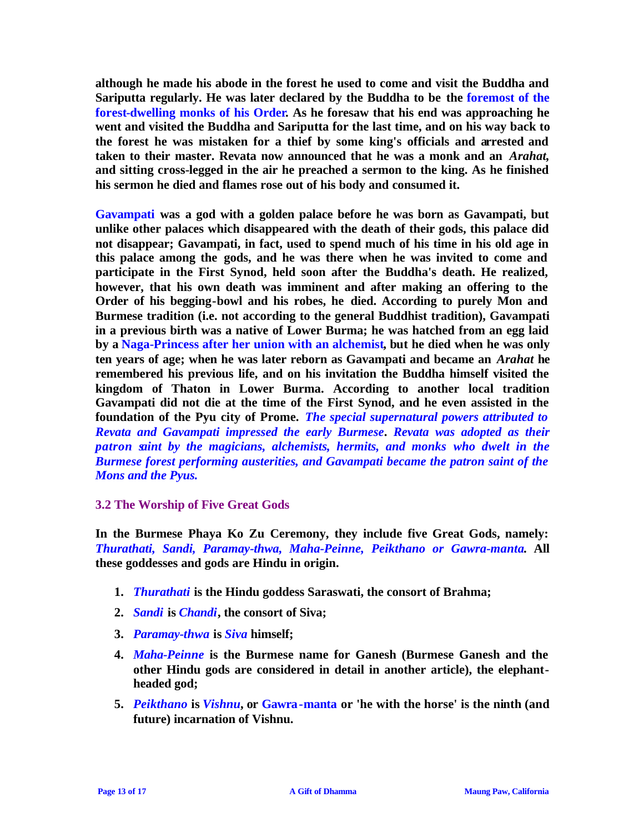**although he made his abode in the forest he used to come and visit the Buddha and Sariputta regularly. He was later declared by the Buddha to be the foremost of the forest-dwelling monks of his Order. As he foresaw that his end was approaching he went and visited the Buddha and Sariputta for the last time, and on his way back to the forest he was mistaken for a thief by some king's officials and arrested and taken to their master. Revata now announced that he was a monk and an** *Arahat,*  **and sitting cross-legged in the air he preached a sermon to the king. As he finished his sermon he died and flames rose out of his body and consumed it.**

**Gavampati was a god with a golden palace before he was born as Gavampati, but unlike other palaces which disappeared with the death of their gods, this palace did not disappear; Gavampati, in fact, used to spend much of his time in his old age in this palace among the gods, and he was there when he was invited to come and participate in the First Synod, held soon after the Buddha's death. He realized, however, that his own death was imminent and after making an offering to the Order of his begging-bowl and his robes, he died. According to purely Mon and Burmese tradition (i.e. not according to the general Buddhist tradition), Gavampati in a previous birth was a native of Lower Burma; he was hatched from an egg laid by a Naga-Princess after her union with an alchemist, but he died when he was only ten years of age; when he was later reborn as Gavampati and became an** *Arahat* **he remembered his previous life, and on his invitation the Buddha himself visited the kingdom of Thaton in Lower Burma. According to another local tradition Gavampati did not die at the time of the First Synod, and he even assisted in the foundation of the Pyu city of Prome.** *The special supernatural powers attributed to Revata and Gavampati impressed the early Burmese***.** *Revata was adopted as their patron saint by the magicians, alchemists, hermits, and monks who dwelt in the Burmese forest performing austerities, and Gavampati became the patron saint of the Mons and the Pyus.*

#### **3.2 The Worship of Five Great Gods**

**In the Burmese Phaya Ko Zu Ceremony, they include five Great Gods, namely:**  *Thurathati, Sandi, Paramay-thwa, Maha-Peinne, Peikthano or Gawra-manta***. All these goddesses and gods are Hindu in origin.** 

- **1.** *Thurathati* **is the Hindu goddess Saraswati, the consort of Brahma;**
- **2.** *Sandi* **is** *Chandi***, the consort of Siva;**
- **3.** *Paramay-thwa* **is** *Siva* **himself;**
- **4.** *Maha-Peinne* **is the Burmese name for Ganesh (Burmese Ganesh and the other Hindu gods are considered in detail in another article), the elephantheaded god;**
- **5.** *Peikthano* **is** *Vishnu***, or Gawra-manta or 'he with the horse' is the ninth (and future) incarnation of Vishnu.**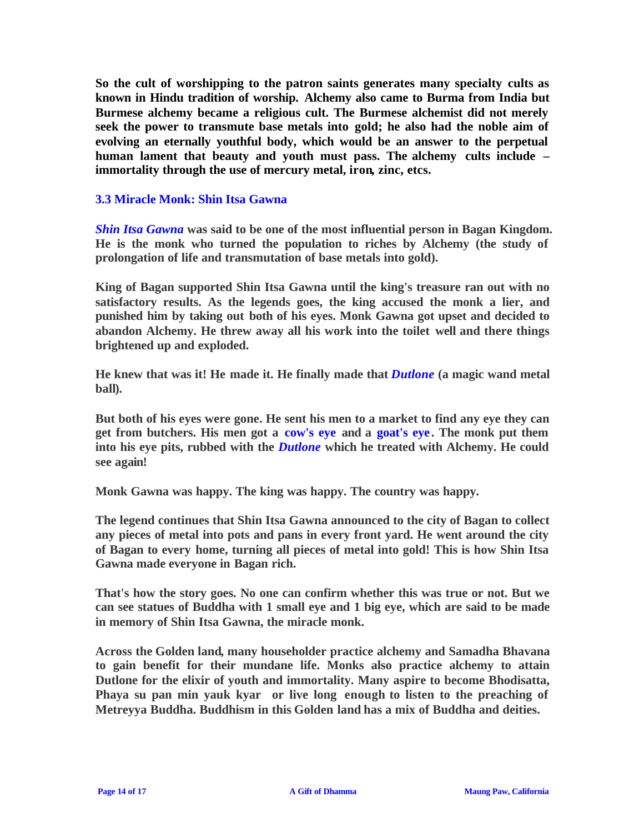**So the cult of worshipping to the patron saints generates many specialty cults as known in Hindu tradition of worship. Alchemy also came to Burma from India but Burmese alchemy became a religious cult. The Burmese alchemist did not merely seek the power to transmute base metals into gold; he also had the noble aim of evolving an eternally youthful body, which would be an answer to the perpetual human lament that beauty and youth must pass. The alchemy cults include – immortality through the use of mercury metal, iron, zinc, etcs.** 

### **3.3 Miracle Monk: Shin Itsa Gawna**

*Shin Itsa Gawna* **was said to be one of the most influential person in Bagan Kingdom. He is the monk who turned the population to riches by Alchemy (the study of prolongation of life and transmutation of base metals into gold).** 

**King of Bagan supported Shin Itsa Gawna until the king's treasure ran out with no satisfactory results. As the legends goes, the king accused the monk a lier, and punished him by taking out both of his eyes. Monk Gawna got upset and decided to abandon Alchemy. He threw away all his work into the toilet well and there things brightened up and exploded.** 

**He knew that was it! He made it. He finally made that** *Dutlone* **(a magic wand metal ball).**

**But both of his eyes were gone. He sent his men to a market to find any eye they can get from butchers. His men got a cow's eye and a goat's eye . The monk put them into his eye pits, rubbed with the** *Dutlone* **which he treated with Alchemy. He could see again!**

**Monk Gawna was happy. The king was happy. The country was happy.** 

**The legend continues that Shin Itsa Gawna announced to the city of Bagan to collect any pieces of metal into pots and pans in every front yard. He went around the city of Bagan to every home, turning all pieces of metal into gold! This is how Shin Itsa Gawna made everyone in Bagan rich.** 

**That's how the story goes. No one can confirm whether this was true or not. But we can see statues of Buddha with 1 small eye and 1 big eye, which are said to be made in memory of Shin Itsa Gawna, the miracle monk.**

**Across the Golden land, many householder practice alchemy and Samadha Bhavana to gain benefit for their mundane life. Monks also practice alchemy to attain Dutlone for the elixir of youth and immortality. Many aspire to become Bhodisatta, Phaya su pan min yauk kyar or live long enough to listen to the preaching of Metreyya Buddha. Buddhism in this Golden land has a mix of Buddha and deities.**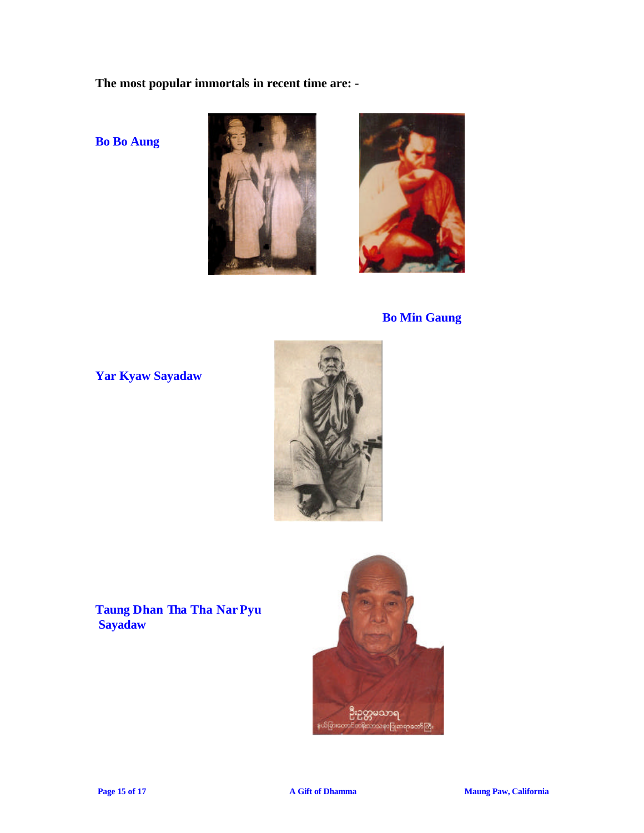# **The most popular immortals in recent time are: -**

**Bo Bo Aung**





# **Bo Min Gaung**

# **Yar Kyaw Sayadaw**



**Taung Dhan Tha Tha Nar Pyu Sayadaw** 

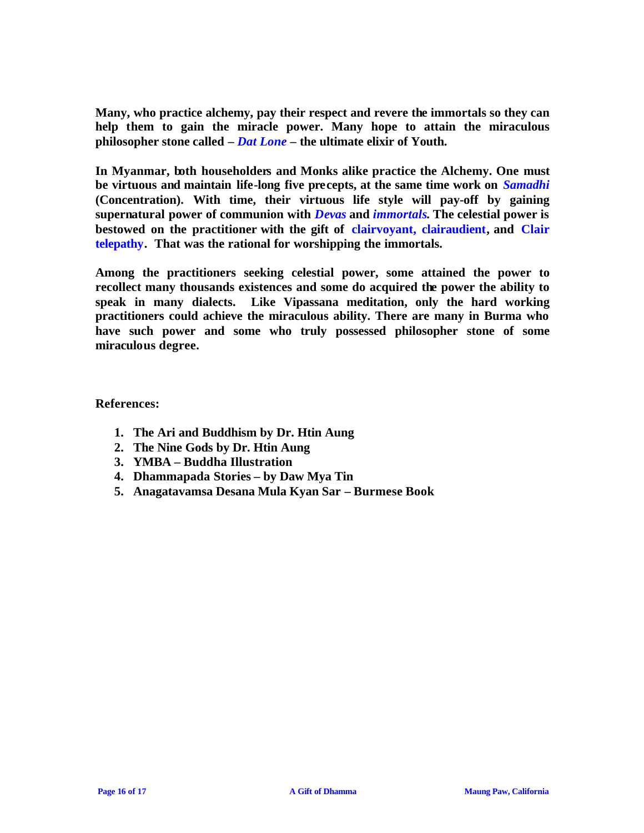**Many, who practice alchemy, pay their respect and revere the immortals so they can help them to gain the miracle power. Many hope to attain the miraculous philosopher stone called –** *Dat Lone* **– the ultimate elixir of Youth.**

**In Myanmar, both householders and Monks alike practice the Alchemy. One must be virtuous and maintain life-long five precepts, at the same time work on** *Samadhi* **(Concentration). With time, their virtuous life style will pay-off by gaining supernatural power of communion with** *Devas* **and** *immortals***. The celestial power is bestowed on the practitioner with the gift of clairvoyant, clairaudient, and Clair telepathy. That was the rational for worshipping the immortals.**

**Among the practitioners seeking celestial power, some attained the power to recollect many thousands existences and some do acquired the power the ability to speak in many dialects. Like Vipassana meditation, only the hard working practitioners could achieve the miraculous ability. There are many in Burma who have such power and some who truly possessed philosopher stone of some miraculous degree.**

#### **References:**

- **1. The Ari and Buddhism by Dr. Htin Aung**
- **2. The Nine Gods by Dr. Htin Aung**
- **3. YMBA Buddha Illustration**
- **4. Dhammapada Stories by Daw Mya Tin**
- **5. Anagatavamsa Desana Mula Kyan Sar Burmese Book**